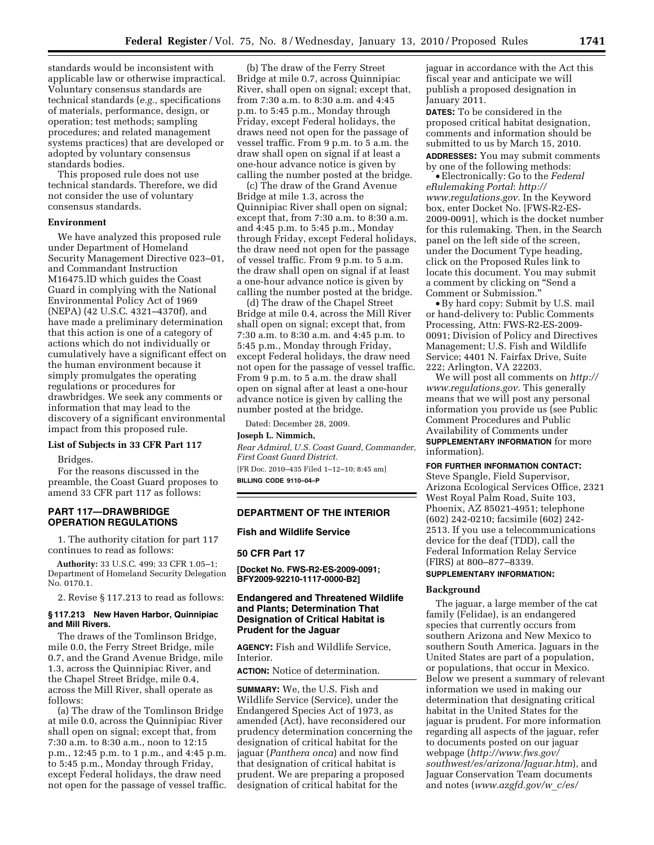standards would be inconsistent with applicable law or otherwise impractical. Voluntary consensus standards are technical standards (*e.g.,* specifications of materials, performance, design, or operation; test methods; sampling procedures; and related management systems practices) that are developed or adopted by voluntary consensus standards bodies.

This proposed rule does not use technical standards. Therefore, we did not consider the use of voluntary consensus standards.

### **Environment**

We have analyzed this proposed rule under Department of Homeland Security Management Directive 023–01, and Commandant Instruction M16475.lD which guides the Coast Guard in complying with the National Environmental Policy Act of 1969 (NEPA) (42 U.S.C. 4321–4370f), and have made a preliminary determination that this action is one of a category of actions which do not individually or cumulatively have a significant effect on the human environment because it simply promulgates the operating regulations or procedures for drawbridges. We seek any comments or information that may lead to the discovery of a significant environmental impact from this proposed rule.

### **List of Subjects in 33 CFR Part 117**

Bridges.

For the reasons discussed in the preamble, the Coast Guard proposes to amend 33 CFR part 117 as follows:

## **PART 117—DRAWBRIDGE OPERATION REGULATIONS**

1. The authority citation for part 117 continues to read as follows:

**Authority:** 33 U.S.C. 499; 33 CFR 1.05–1; Department of Homeland Security Delegation No. 0170.1.

2. Revise § 117.213 to read as follows:

## **§ 117.213 New Haven Harbor, Quinnipiac and Mill Rivers.**

The draws of the Tomlinson Bridge, mile 0.0, the Ferry Street Bridge, mile 0.7, and the Grand Avenue Bridge, mile 1.3, across the Quinnipiac River, and the Chapel Street Bridge, mile 0.4, across the Mill River, shall operate as follows:

(a) The draw of the Tomlinson Bridge at mile 0.0, across the Quinnipiac River shall open on signal; except that, from 7:30 a.m. to 8:30 a.m., noon to 12:15 p.m., 12:45 p.m. to 1 p.m., and 4:45 p.m. to 5:45 p.m., Monday through Friday, except Federal holidays, the draw need not open for the passage of vessel traffic.

(b) The draw of the Ferry Street Bridge at mile 0.7, across Quinnipiac River, shall open on signal; except that, from 7:30 a.m. to 8:30 a.m. and 4:45 p.m. to 5:45 p.m., Monday through Friday, except Federal holidays, the draws need not open for the passage of vessel traffic. From 9 p.m. to 5 a.m. the draw shall open on signal if at least a one-hour advance notice is given by calling the number posted at the bridge.

(c) The draw of the Grand Avenue Bridge at mile 1.3, across the Quinnipiac River shall open on signal; except that, from 7:30 a.m. to 8:30 a.m. and 4:45 p.m. to 5:45 p.m., Monday through Friday, except Federal holidays, the draw need not open for the passage of vessel traffic. From 9 p.m. to 5 a.m. the draw shall open on signal if at least a one-hour advance notice is given by calling the number posted at the bridge.

(d) The draw of the Chapel Street Bridge at mile 0.4, across the Mill River shall open on signal; except that, from 7:30 a.m. to 8:30 a.m. and 4:45 p.m. to 5:45 p.m., Monday through Friday, except Federal holidays, the draw need not open for the passage of vessel traffic. From 9 p.m. to 5 a.m. the draw shall open on signal after at least a one-hour advance notice is given by calling the number posted at the bridge.

Dated: December 28, 2009.

#### **Joseph L. Nimmich,**

*Rear Admiral, U.S. Coast Guard, Commander, First Coast Guard District.*  [FR Doc. 2010–435 Filed 1–12–10; 8:45 am] **BILLING CODE 9110–04–P** 

## **DEPARTMENT OF THE INTERIOR**

## **Fish and Wildlife Service**

#### **50 CFR Part 17**

**[Docket No. FWS-R2-ES-2009-0091; BFY2009-92210-1117-0000-B2]** 

# **Endangered and Threatened Wildlife and Plants; Determination That Designation of Critical Habitat is Prudent for the Jaguar**

**AGENCY:** Fish and Wildlife Service, Interior.

**ACTION:** Notice of determination.

**SUMMARY:** We, the U.S. Fish and Wildlife Service (Service), under the Endangered Species Act of 1973, as amended (Act), have reconsidered our prudency determination concerning the designation of critical habitat for the jaguar (*Panthera onca*) and now find that designation of critical habitat is prudent. We are preparing a proposed designation of critical habitat for the

jaguar in accordance with the Act this fiscal year and anticipate we will publish a proposed designation in January 2011.

**DATES:** To be considered in the proposed critical habitat designation, comments and information should be submitted to us by March 15, 2010. **ADDRESSES:** You may submit comments by one of the following methods:

• Electronically: Go to the *Federal eRulemaking Portal*: *http:// www.regulations.gov*. In the Keyword box, enter Docket No. [FWS-R2-ES-2009-0091], which is the docket number for this rulemaking. Then, in the Search panel on the left side of the screen, under the Document Type heading, click on the Proposed Rules link to locate this document. You may submit a comment by clicking on ''Send a Comment or Submission.''

•By hard copy: Submit by U.S. mail or hand-delivery to: Public Comments Processing, Attn: FWS-R2-ES-2009- 0091; Division of Policy and Directives Management; U.S. Fish and Wildlife Service; 4401 N. Fairfax Drive, Suite 222; Arlington, VA 22203.

We will post all comments on *http:// www.regulations.gov*. This generally means that we will post any personal information you provide us (see Public Comment Procedures and Public Availability of Comments under **SUPPLEMENTARY INFORMATION** for more information).

# **FOR FURTHER INFORMATION CONTACT:**

Steve Spangle, Field Supervisor, Arizona Ecological Services Office, 2321 West Royal Palm Road, Suite 103, Phoenix, AZ 85021-4951; telephone (602) 242-0210; facsimile (602) 242- 2513. If you use a telecommunications device for the deaf (TDD), call the Federal Information Relay Service (FIRS) at 800–877–8339.

# **SUPPLEMENTARY INFORMATION:**

#### **Background**

The jaguar, a large member of the cat family (Felidae), is an endangered species that currently occurs from southern Arizona and New Mexico to southern South America. Jaguars in the United States are part of a population, or populations, that occur in Mexico. Below we present a summary of relevant information we used in making our determination that designating critical habitat in the United States for the jaguar is prudent. For more information regarding all aspects of the jaguar, refer to documents posted on our jaguar webpage (*http://www.fws.gov/ southwest/es/arizona/Jaguar.htm*), and Jaguar Conservation Team documents and notes (*www.azgfd.gov/w*\_*c/es/*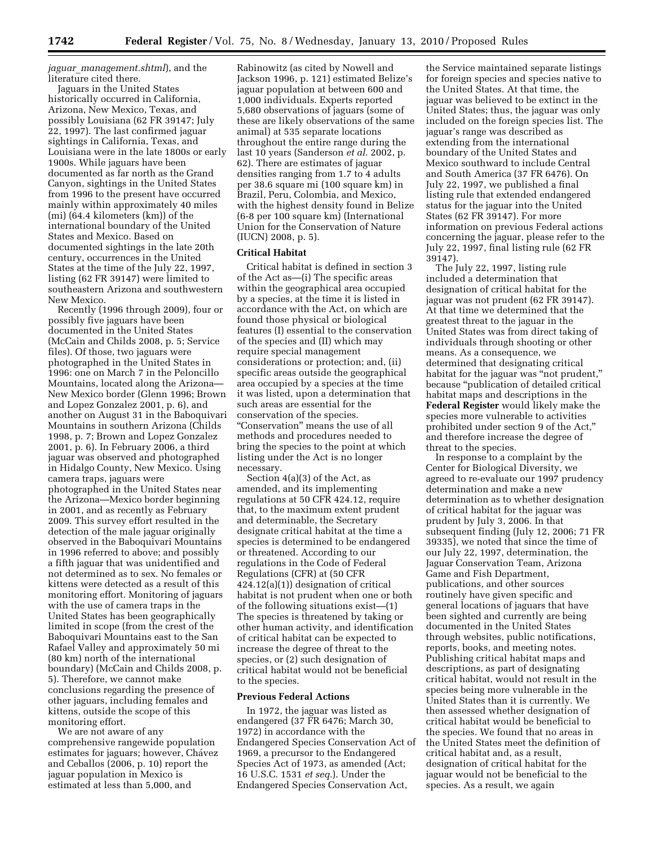*jaguar*\_*management.shtml*), and the literature cited there.

Jaguars in the United States historically occurred in California, Arizona, New Mexico, Texas, and possibly Louisiana (62 FR 39147; July 22, 1997). The last confirmed jaguar sightings in California, Texas, and Louisiana were in the late 1800s or early 1900s. While jaguars have been documented as far north as the Grand Canyon, sightings in the United States from 1996 to the present have occurred mainly within approximately 40 miles (mi) (64.4 kilometers (km)) of the international boundary of the United States and Mexico. Based on documented sightings in the late 20th century, occurrences in the United States at the time of the July 22, 1997, listing (62 FR 39147) were limited to southeastern Arizona and southwestern New Mexico.

Recently (1996 through 2009), four or possibly five jaguars have been documented in the United States (McCain and Childs 2008, p. 5; Service files). Of those, two jaguars were photographed in the United States in 1996: one on March 7 in the Peloncillo Mountains, located along the Arizona— New Mexico border (Glenn 1996; Brown and Lopez Gonzalez 2001, p. 6), and another on August 31 in the Baboquivari Mountains in southern Arizona (Childs 1998, p. 7; Brown and Lopez Gonzalez 2001, p. 6). In February 2006, a third jaguar was observed and photographed in Hidalgo County, New Mexico. Using camera traps, jaguars were photographed in the United States near the Arizona—Mexico border beginning in 2001, and as recently as February 2009. This survey effort resulted in the detection of the male jaguar originally observed in the Baboquivari Mountains in 1996 referred to above; and possibly a fifth jaguar that was unidentified and not determined as to sex. No females or kittens were detected as a result of this monitoring effort. Monitoring of jaguars with the use of camera traps in the United States has been geographically limited in scope (from the crest of the Baboquivari Mountains east to the San Rafael Valley and approximately 50 mi (80 km) north of the international boundary) (McCain and Childs 2008, p. 5). Therefore, we cannot make conclusions regarding the presence of other jaguars, including females and kittens, outside the scope of this monitoring effort.

We are not aware of any comprehensive rangewide population estimates for jaguars; however, Chávez and Ceballos (2006, p. 10) report the jaguar population in Mexico is estimated at less than 5,000, and

Rabinowitz (as cited by Nowell and Jackson 1996, p. 121) estimated Belize's jaguar population at between 600 and 1,000 individuals. Experts reported 5,680 observations of jaguars (some of these are likely observations of the same animal) at 535 separate locations throughout the entire range during the last 10 years (Sanderson *et al.* 2002, p. 62). There are estimates of jaguar densities ranging from 1.7 to 4 adults per 38.6 square mi (100 square km) in Brazil, Peru, Colombia, and Mexico, with the highest density found in Belize (6-8 per 100 square km) (International Union for the Conservation of Nature (IUCN) 2008, p. 5).

## **Critical Habitat**

Critical habitat is defined in section 3 of the Act as—(i) The specific areas within the geographical area occupied by a species, at the time it is listed in accordance with the Act, on which are found those physical or biological features (I) essential to the conservation of the species and (II) which may require special management considerations or protection; and, (ii) specific areas outside the geographical area occupied by a species at the time it was listed, upon a determination that such areas are essential for the conservation of the species. ''Conservation'' means the use of all methods and procedures needed to bring the species to the point at which listing under the Act is no longer necessary.

Section 4(a)(3) of the Act, as amended, and its implementing regulations at 50 CFR 424.12, require that, to the maximum extent prudent and determinable, the Secretary designate critical habitat at the time a species is determined to be endangered or threatened. According to our regulations in the Code of Federal Regulations (CFR) at (50 CFR 424.12(a)(1)) designation of critical habitat is not prudent when one or both of the following situations exist—(1) The species is threatened by taking or other human activity, and identification of critical habitat can be expected to increase the degree of threat to the species, or (2) such designation of critical habitat would not be beneficial to the species.

### **Previous Federal Actions**

In 1972, the jaguar was listed as endangered (37 FR 6476; March 30, 1972) in accordance with the Endangered Species Conservation Act of 1969, a precursor to the Endangered Species Act of 1973, as amended (Act; 16 U.S.C. 1531 *et seq.*). Under the Endangered Species Conservation Act,

the Service maintained separate listings for foreign species and species native to the United States. At that time, the jaguar was believed to be extinct in the United States; thus, the jaguar was only included on the foreign species list. The jaguar's range was described as extending from the international boundary of the United States and Mexico southward to include Central and South America (37 FR 6476). On July 22, 1997, we published a final listing rule that extended endangered status for the jaguar into the United States (62 FR 39147). For more information on previous Federal actions concerning the jaguar, please refer to the July 22, 1997, final listing rule (62 FR 39147).

The July 22, 1997, listing rule included a determination that designation of critical habitat for the jaguar was not prudent (62 FR 39147). At that time we determined that the greatest threat to the jaguar in the United States was from direct taking of individuals through shooting or other means. As a consequence, we determined that designating critical habitat for the jaguar was "not prudent," because ''publication of detailed critical habitat maps and descriptions in the **Federal Register** would likely make the species more vulnerable to activities prohibited under section 9 of the Act,'' and therefore increase the degree of threat to the species.

In response to a complaint by the Center for Biological Diversity, we agreed to re-evaluate our 1997 prudency determination and make a new determination as to whether designation of critical habitat for the jaguar was prudent by July 3, 2006. In that subsequent finding (July 12, 2006; 71 FR 39335), we noted that since the time of our July 22, 1997, determination, the Jaguar Conservation Team, Arizona Game and Fish Department, publications, and other sources routinely have given specific and general locations of jaguars that have been sighted and currently are being documented in the United States through websites, public notifications, reports, books, and meeting notes. Publishing critical habitat maps and descriptions, as part of designating critical habitat, would not result in the species being more vulnerable in the United States than it is currently. We then assessed whether designation of critical habitat would be beneficial to the species. We found that no areas in the United States meet the definition of critical habitat and, as a result, designation of critical habitat for the jaguar would not be beneficial to the species. As a result, we again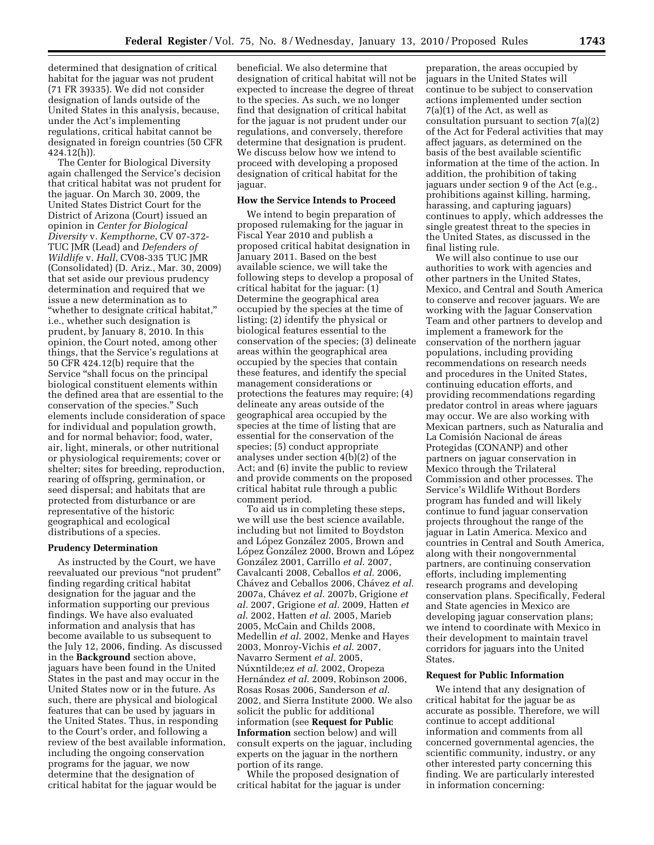determined that designation of critical habitat for the jaguar was not prudent (71 FR 39335). We did not consider designation of lands outside of the United States in this analysis, because, under the Act's implementing regulations, critical habitat cannot be designated in foreign countries (50 CFR 424.12(h)).

The Center for Biological Diversity again challenged the Service's decision that critical habitat was not prudent for the jaguar. On March 30, 2009, the United States District Court for the District of Arizona (Court) issued an opinion in *Center for Biological Diversity* v. *Kempthorne*, CV 07-372- TUC JMR (Lead) and *Defenders of Wildlife* v. *Hall*, CV08-335 TUC JMR (Consolidated) (D. Ariz., Mar. 30, 2009) that set aside our previous prudency determination and required that we issue a new determination as to ''whether to designate critical habitat,'' i.e., whether such designation is prudent, by January 8, 2010. In this opinion, the Court noted, among other things, that the Service's regulations at 50 CFR 424.12(b) require that the Service "shall focus on the principal biological constituent elements within the defined area that are essential to the conservation of the species.'' Such elements include consideration of space for individual and population growth, and for normal behavior; food, water, air, light, minerals, or other nutritional or physiological requirements; cover or shelter; sites for breeding, reproduction, rearing of offspring, germination, or seed dispersal; and habitats that are protected from disturbance or are representative of the historic geographical and ecological distributions of a species.

#### **Prudency Determination**

As instructed by the Court, we have reevaluated our previous "not prudent" finding regarding critical habitat designation for the jaguar and the information supporting our previous findings. We have also evaluated information and analysis that has become available to us subsequent to the July 12, 2006, finding. As discussed in the **Background** section above, jaguars have been found in the United States in the past and may occur in the United States now or in the future. As such, there are physical and biological features that can be used by jaguars in the United States. Thus, in responding to the Court's order, and following a review of the best available information, including the ongoing conservation programs for the jaguar, we now determine that the designation of critical habitat for the jaguar would be

beneficial. We also determine that designation of critical habitat will not be expected to increase the degree of threat to the species. As such, we no longer find that designation of critical habitat for the jaguar is not prudent under our regulations, and conversely, therefore determine that designation is prudent. We discuss below how we intend to proceed with developing a proposed designation of critical habitat for the jaguar.

## **How the Service Intends to Proceed**

We intend to begin preparation of proposed rulemaking for the jaguar in Fiscal Year 2010 and publish a proposed critical habitat designation in January 2011. Based on the best available science, we will take the following steps to develop a proposal of critical habitat for the jaguar: (1) Determine the geographical area occupied by the species at the time of listing; (2) identify the physical or biological features essential to the conservation of the species; (3) delineate areas within the geographical area occupied by the species that contain these features, and identify the special management considerations or protections the features may require; (4) delineate any areas outside of the geographical area occupied by the species at the time of listing that are essential for the conservation of the species; (5) conduct appropriate analyses under section 4(b)(2) of the Act; and (6) invite the public to review and provide comments on the proposed critical habitat rule through a public comment period.

To aid us in completing these steps, we will use the best science available, including but not limited to Boydston and López González 2005, Brown and López González 2000, Brown and López Gonza´lez 2001, Carrillo *et al.* 2007, Cavalcanti 2008, Ceballos *et al.* 2006, Cha´vez and Ceballos 2006, Cha´vez *et al.*  2007a, Cha´vez *et al.* 2007b, Grigione *et al.* 2007, Grigione *et al.* 2009, Hatten *et al*. 2002, Hatten *et al*. 2005, Marieb 2005, McCain and Childs 2008, Medellin *et al*. 2002, Menke and Hayes 2003, Monroy-Vichis *et al*. 2007, Navarro Serment *et al*. 2005, Nu´xntilde;ez *et al*. 2002, Oropeza Hernández et al. 2009, Robinson 2006, Rosas Rosas 2006, Sanderson *et al*. 2002, and Sierra Institute 2000. We also solicit the public for additional information (see **Request for Public Information** section below) and will consult experts on the jaguar, including experts on the jaguar in the northern portion of its range.

While the proposed designation of critical habitat for the jaguar is under

preparation, the areas occupied by jaguars in the United States will continue to be subject to conservation actions implemented under section 7(a)(1) of the Act, as well as consultation pursuant to section 7(a)(2) of the Act for Federal activities that may affect jaguars, as determined on the basis of the best available scientific information at the time of the action. In addition, the prohibition of taking jaguars under section 9 of the Act (e.g., prohibitions against killing, harming, harassing, and capturing jaguars) continues to apply, which addresses the single greatest threat to the species in the United States, as discussed in the final listing rule.

We will also continue to use our authorities to work with agencies and other partners in the United States, Mexico, and Central and South America to conserve and recover jaguars. We are working with the Jaguar Conservation Team and other partners to develop and implement a framework for the conservation of the northern jaguar populations, including providing recommendations on research needs and procedures in the United States, continuing education efforts, and providing recommendations regarding predator control in areas where jaguars may occur. We are also working with Mexican partners, such as Naturalia and La Comisión Nacional de áreas Protegidas (CONANP) and other partners on jaguar conservation in Mexico through the Trilateral Commission and other processes. The Service's Wildlife Without Borders program has funded and will likely continue to fund jaguar conservation projects throughout the range of the jaguar in Latin America. Mexico and countries in Central and South America, along with their nongovernmental partners, are continuing conservation efforts, including implementing research programs and developing conservation plans. Specifically, Federal and State agencies in Mexico are developing jaguar conservation plans; we intend to coordinate with Mexico in their development to maintain travel corridors for jaguars into the United States.

### **Request for Public Information**

We intend that any designation of critical habitat for the jaguar be as accurate as possible. Therefore, we will continue to accept additional information and comments from all concerned governmental agencies, the scientific community, industry, or any other interested party concerning this finding. We are particularly interested in information concerning: